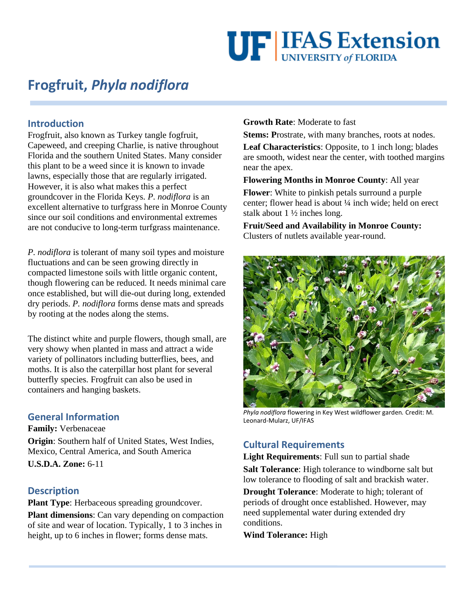# **UF IFAS Extension**

# **Frogfruit,** *Phyla nodiflora*

### **Introduction**

Frogfruit, also known as Turkey tangle fogfruit, Capeweed, and creeping Charlie, is native throughout Florida and the southern United States. Many consider this plant to be a weed since it is known to invade lawns, especially those that are regularly irrigated. However, it is also what makes this a perfect groundcover in the Florida Keys. *P. nodiflora* is an excellent alternative to turfgrass here in Monroe County since our soil conditions and environmental extremes are not conducive to long-term turfgrass maintenance.

*P. nodiflora* is tolerant of many soil types and moisture fluctuations and can be seen growing directly in compacted limestone soils with little organic content, though flowering can be reduced. It needs minimal care once established, but will die-out during long, extended dry periods. *P. nodiflora* forms dense mats and spreads by rooting at the nodes along the stems.

The distinct white and purple flowers, though small, are very showy when planted in mass and attract a wide variety of pollinators including butterflies, bees, and moths. It is also the caterpillar host plant for several butterfly species. Frogfruit can also be used in containers and hanging baskets.

#### **General Information**

**Family:** Verbenaceae **Origin**: Southern half of United States, West Indies, Mexico, Central America, and South America **U.S.D.A. Zone:** 6-11

#### **Description**

**Plant Type**: Herbaceous spreading groundcover.

**Plant dimensions**: Can vary depending on compaction of site and wear of location. Typically, 1 to 3 inches in height, up to 6 inches in flower; forms dense mats.

**Growth Rate**: Moderate to fast

**Stems: P**rostrate, with many branches, roots at nodes.

**Leaf Characteristics**: Opposite, to 1 inch long; blades are smooth, widest near the center, with toothed margins near the apex.

**Flowering Months in Monroe County**: All year

**Flower**: White to pinkish petals surround a purple center; flower head is about ¼ inch wide; held on erect stalk about 1 ½ inches long.

**Fruit/Seed and Availability in Monroe County:** Clusters of nutlets available year-round.



*Phyla nodiflora* flowering in Key West wildflower garden*.* Credit: M. Leonard-Mularz, UF/IFAS

## **Cultural Requirements**

**Light Requirements**: Full sun to partial shade

**Salt Tolerance**: High tolerance to windborne salt but low tolerance to flooding of salt and brackish water.

**Drought Tolerance**: Moderate to high; tolerant of periods of drought once established. However, may need supplemental water during extended dry conditions.

**Wind Tolerance:** High